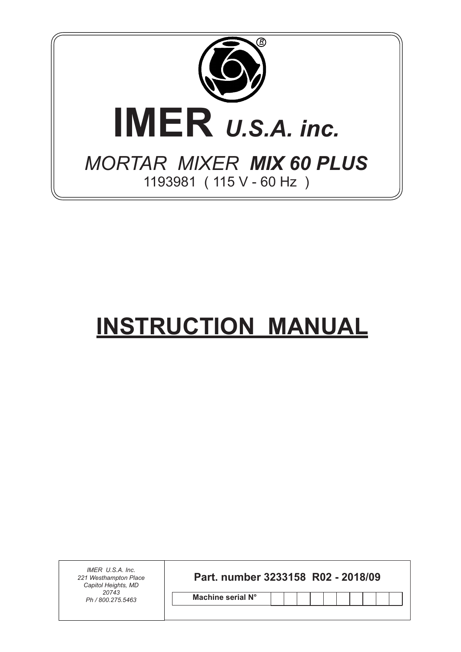

# **INSTRUCTION MANUAL**

*IMER U.S.A. Inc. 221 Westhampton Place Capitol Heights, MD 20743 Ph / 800.275.5463*

**Part. number 3233158 R02 - 2018/09**

**Machine serial N°**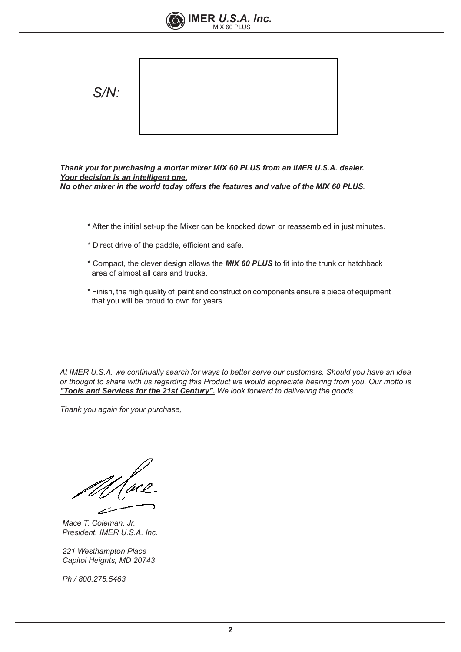



*Thank you for purchasing a mortar mixer MIX 60 PLUS from an IMER U.S.A. dealer. Your decision is an intelligent one. No other mixer in the world today offers the features and value of the MIX 60 PLUS.*

- \* After the initial set-up the Mixer can be knocked down or reassembled in just minutes.
- \* Direct drive of the paddle, efficient and safe.
- \* Compact, the clever design allows the *MIX 60 PLUS* to fit into the trunk or hatchback area of almost all cars and trucks.
- \* Finish, the high quality of paint and construction components ensure a piece of equipment that you will be proud to own for years.

*At IMER U.S.A. we continually search for ways to better serve our customers. Should you have an idea or thought to share with us regarding this Product we would appreciate hearing from you. Our motto is "Tools and Services for the 21st Century". We look forward to delivering the goods.*

*Thank you again for your purchase,*

*Mace T. Coleman, Jr. President, IMER U.S.A. Inc.*

*221 Westhampton Place Capitol Heights, MD 20743*

*Ph / 800.275.5463*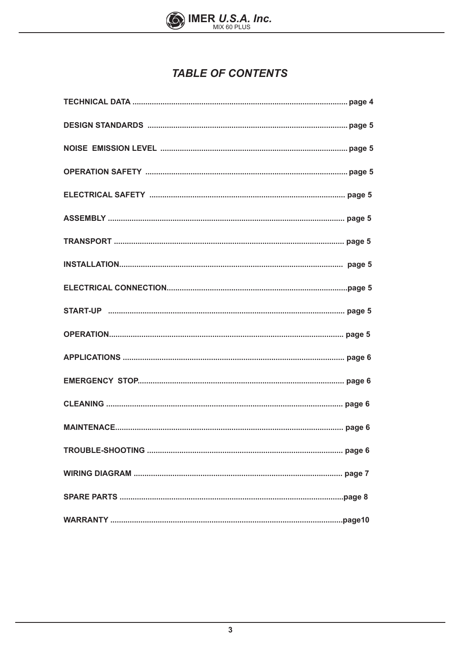

# **TABLE OF CONTENTS**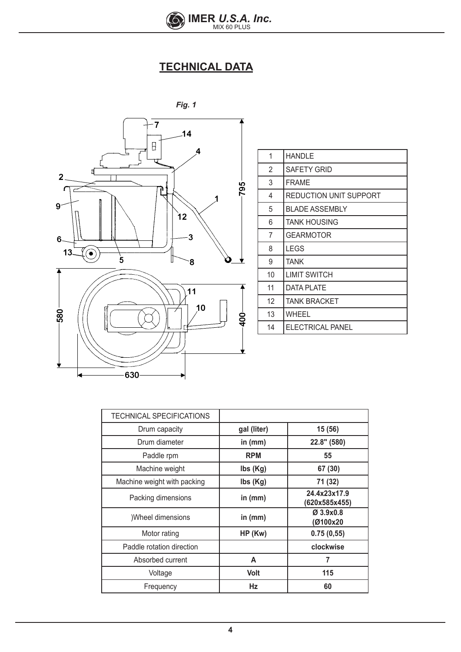

# **TECHNICAL DATA**



| 1              | <b>HANDLE</b>          |
|----------------|------------------------|
| 2              | <b>SAFETY GRID</b>     |
| 3              | <b>FRAME</b>           |
| 4              | REDUCTION UNIT SUPPORT |
| 5              | <b>BLADE ASSEMBLY</b>  |
| 6              | <b>TANK HOUSING</b>    |
| $\overline{7}$ | GEARMOTOR              |
| 8              | <b>LEGS</b>            |
| 9              | <b>TANK</b>            |
| 10             | LIMIT SWITCH           |
| 11             | DATA PLATE             |
| 12             | <b>TANK BRACKET</b>    |
| 13             | WHEEL                  |
| 14             | ELECTRICAL PANEL       |

| TECHNICAL SPECIFICATIONS    |                             |                               |
|-----------------------------|-----------------------------|-------------------------------|
| Drum capacity               | gal (liter)                 | 15 (56)                       |
| Drum diameter               | in $(mm)$                   | 22.8" (580)                   |
| Paddle rpm                  | <b>RPM</b>                  | 55                            |
| Machine weight              | $\mathsf{Ibs}(\mathsf{Kg})$ | 67 (30)                       |
| Machine weight with packing | lbs (Kg)                    | 71 (32)                       |
| Packing dimensions          | in $(mm)$                   | 24.4x23x17.9<br>(620x585x455) |
| Wheel dimensions            | in (mm)                     | $Ø$ 3.9x0.8<br>(Ø100x20       |
| Motor rating                | $HP$ (Kw)                   | 0.75(0.55)                    |
| Paddle rotation direction   |                             | clockwise                     |
| Absorbed current            | A                           | 7                             |
| Voltage                     | <b>Volt</b>                 | 115                           |
| Frequency                   | Hz                          | 60                            |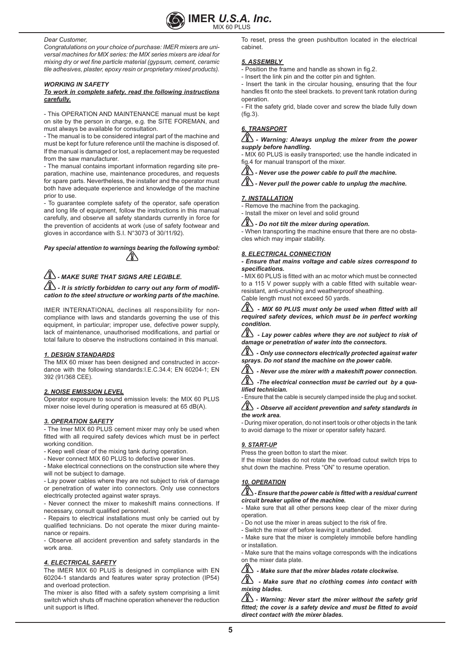

#### *Dear Customer,*

*Congratulations on your choice of purchase: IMER mixers are universal machines for MIX series: the MIX series mixers are ideal for mixing dry or wet fine particle material (gypsum, cement, ceramic tile adhesives, plaster, epoxy resin or proprietary mixed products).* 

## *WORKING IN SAFETY*

## *To work in complete safety, read the following instructions carefully.*

- This OPERATION AND MAINTENANCE manual must be kept on site by the person in charge, e.g. the SITE FOREMAN, and must always be available for consultation.

- The manual is to be considered integral part of the machine and must be kept for future reference until the machine is disposed of. If the manual is damaged or lost, a replacement may be requested from the saw manufacturer.

- The manual contains important information regarding site preparation, machine use, maintenance procedures, and requests for spare parts. Nevertheless, the installer and the operator must both have adequate experience and knowledge of the machine prior to use.

- To guarantee complete safety of the operator, safe operation and long life of equipment, follow the instructions in this manual carefully, and observe all safety standards currently in force for the prevention of accidents at work (use of safety footwear and gloves in accordance with S.I. N°3073 of 30/11/92).

*Pay special attention to warnings bearing the following symbol:*

# *- MAKE SURE THAT SIGNS ARE LEGIBLE.*

 *- It is strictly forbidden to carry out any form of modification to the steel structure or working parts of the machine.*

IMER INTERNATIONAL declines all responsibility for noncompliance with laws and standards governing the use of this equipment, in particular; improper use, defective power supply, lack of maintenance, unauthorised modifications, and partial or total failure to observe the instructions contained in this manual.

## *1. DESIGN STANDARDS*

The MIX 60 mixer has been designed and constructed in accordance with the following standards:I.E.C.34.4; EN 60204-1; EN 392 (91/368 CEE).

## *2. NOISE EMISSION LEVEL*

Operator exposure to sound emission levels: the MIX 60 PLUS mixer noise level during operation is measured at 65 dB(A).

## *3. OPERATION SAFETY*

- The Imer MIX 60 PLUS cement mixer may only be used when fitted with all required safety devices which must be in perfect working condition

- Keep well clear of the mixing tank during operation.

- Never connect MIX 60 PLUS to defective power lines.

- Make electrical connections on the construction site where they will not be subject to damage.

- Lay power cables where they are not subject to risk of damage or penetration of water into connectors. Only use connectors electrically protected against water sprays.

- Never connect the mixer to makeshift mains connections. If necessary, consult qualified personnel.

- Repairs to electrical installations must only be carried out by qualified technicians. Do not operate the mixer during maintenance or repairs.

- Observe all accident prevention and safety standards in the work area.

## *4. ELECTRICAL SAFETY*

The IMER MIX 60 PLUS is designed in compliance with EN 60204-1 standards and features water spray protection (IP54) and overload protection.

The mixer is also fitted with a safety system comprising a limit switch which shuts off machine operation whenever the reduction unit support is lifted.

To reset, press the green pushbutton located in the electrical cabinet.

# *5. ASSEMBLY*

- Position the frame and handle as shown in fig.2.

- Insert the link pin and the cotter pin and tighten.

- Insert the tank in the circular housing, ensuring that the four handles fit onto the steel brackets. to prevent tank rotation during operation.

- Fit the safety grid, blade cover and screw the blade fully down (fig.3).

# *6. TRANSPORT*

# *- Warning: Always unplug the mixer from the power supply before handling.*

- MIX 60 PLUS is easily transported; use the handle indicated in fig.4 for manual transport of the mixer.

*- Never use the power cable to pull the machine.*

 $\sqrt{2}$  - Never pull the power cable to unplug the machine.

# *7. INSTALLATION*

- Remove the machine from the packaging.

- Install the mixer on level and solid ground

*- Do not tilt the mixer during operation.*

- When transporting the machine ensure that there are no obstacles which may impair stability.

# *8. ELECTRICAL CONNECTION*

*- Ensure that mains voltage and cable sizes correspond to specifications.*

- MIX 60 PLUS is fitted with an ac motor which must be connected to a 115 V power supply with a cable fitted with suitable wearresistant, anti-crushing and weatherproof sheathing.

Cable length must not exceed 50 yards.

 *- MIX 60 PLUS must only be used when fitted with all required safety devices, which must be in perfect working condition.*

 $\overline{\mathbb{A}}$  - Lay power cables where they are not subject to risk of *damage or penetration of water into the connectors.*

 $\sqrt{2}$  *- Only use connectors electrically protected against water sprays. Do not stand the machine on the power cable.*

 *- Never use the mixer with a makeshift power connection.* 

 $\sqrt{2}$  *-The electrical connection must be carried out by a qualified technician.*

- Ensure that the cable is securely clamped inside the plug and socket.

# *- Observe all accident prevention and safety standards in the work area.*

- During mixer operation, do not insert tools or other objects in the tank to avoid damage to the mixer or operator safety hazard.

# *9. START-UP*

Press the green botton to start the mixer.

If the mixer blades do not rotate the overload cutout switch trips to shut down the machine. Press "ON" to resume operation.

# *10. OPERATION*

# *- Ensure that the power cable is fitted with a residual current circuit breaker upline of the machine.*

- Make sure that all other persons keep clear of the mixer during operation.

- Do not use the mixer in areas subject to the risk of fire.
- Switch the mixer off before leaving it unattended.

- Make sure that the mixer is completely immobile before handling or installation.

- Make sure that the mains voltage corresponds with the indications on the mixer data plate.

 *- Make sure that the mixer blades rotate clockwise.*

A - Make sure that no clothing comes into contact with *mixing blades.*

 $\sqrt{2}$  - Warning: Never start the mixer without the safety grid *fitted; the cover is a safety device and must be fitted to avoid direct contact with the mixer blades.*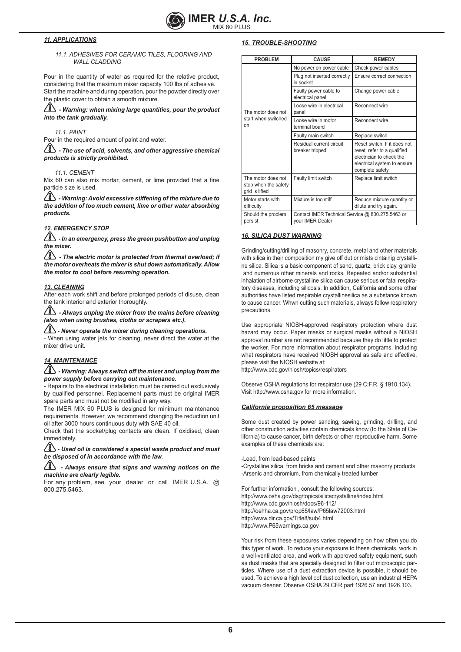

# *11. APPLICATIONS*

# *11.1. ADHESIVES FOR CERAMIC TILES, FLOORING AND WALL CLADDING*

Pour in the quantity of water as required for the relative product, considering that the maximum mixer capacity 100 lbs of adhesive. Start the machine and during operation, pour the powder directly over the plastic cover to obtain a smooth mixture.

 $\langle\!\!\langle \mathbf{1}\rangle\!\!\rangle$  - Warning: when mixing large quantities, pour the product *into the tank gradually.*

*11.1. PAINT*

Pour in the required amount of paint and water.

 $\sqrt{2}$  - The use of acid, solvents, and other aggressive chemical *products is strictly prohibited.*

#### *11.1. CEMENT*

Mix 60 can also mix mortar, cement, or lime provided that a fine particle size is used.

 $\langle\!\!\!\langle\Delta\rangle\!\!\!\rangle$  - Warning: Avoid excessive stiffening of the mixture due to *the addition of too much cement, lime or other water absorbing products.*

## *12. EMERGENCY STOP*

 *- In an emergency, press the green pushbutton and unplug the mixer.*

 $\sqrt{2}$  - The electric motor is protected from thermal overload; if *the motor overheats the mixer is shut down automatically. Allow the motor to cool before resuming operation.*

#### *13. CLEANING*

After each work shift and before prolonged periods of disuse, clean the tank interior and exterior thoroughly.

 *- Always unplug the mixer from the mains before cleaning (also when using brushes, cloths or scrapers etc.).*

 $\sqrt{2}$  - Never operate the mixer during cleaning operations. - When using water jets for cleaning, never direct the water at the mixer drive unit.

# *14. MAINTENANCE*

 $\langle\!\hat{\mathbb{Z}}\!\rangle$  - Warning: Always switch off the mixer and unplug from the *power supply before carrying out maintenance.*

- Repairs to the electrical installation must be carried out exclusively by qualified personnel. Replacement parts must be original IMER spare parts and must not be modified in any way.

The IMER MIX 60 PLUS is designed for minimum maintenance requirements. However, we recommend changing the reduction unit oil after 3000 hours continuous duty with SAE 40 oil.

Check that the socket/plug contacts are clean. If oxidised, clean immediately.

 *- Used oil is considered a special waste product and must be disposed of in accordance with the law.*

# *- Always ensure that signs and warning notices on the machine are clearly legible.*

For any problem, see your dealer or call IMER U.S.A. @ 800.275.5463.

## *15. TROUBLE-SHOOTING*

| <b>PROBLEM</b>                                               | <b>CAUSE</b>                                                         | <b>REMEDY</b>                                                                                                                              |
|--------------------------------------------------------------|----------------------------------------------------------------------|--------------------------------------------------------------------------------------------------------------------------------------------|
|                                                              | No power on power cable                                              | Check power cables                                                                                                                         |
|                                                              | Plug not inserted correctly<br>in socket                             | Ensure correct connection                                                                                                                  |
|                                                              | Faulty power cable to<br>electrical panel                            | Change power cable                                                                                                                         |
| The motor does not                                           | Loose wire in electrical<br>panel                                    | Reconnect wire                                                                                                                             |
| start when switched<br>nn                                    | Loose wire in motor<br>terminal board                                | Reconnect wire                                                                                                                             |
|                                                              | Faulty main switch                                                   | Replace switch                                                                                                                             |
|                                                              | Residual current circuit<br>breaker tripped                          | Reset switch. If it does not<br>reset, refer to a qualified<br>electrician to check the<br>electrical system to ensure<br>complete safety. |
| The motor does not<br>stop when the safety<br>grid is lifted | Faulty limit switch                                                  | Replace limit switch                                                                                                                       |
| Motor starts with<br>difficulty                              | Mixture is too stiff                                                 | Reduce mixture quantity or<br>dilute and try again.                                                                                        |
| Should the problem<br>persist                                | Contact IMER Technical Service @ 800.275.5463 or<br>your IMER Dealer |                                                                                                                                            |

# *16. SILICA DUST WARNING*

Grinding/cutting/drilling of masonry, concrete, metal and other materials with silica in their composition my give off dut or mists cintainig crystalline silica. Silica is a basic component of sand, quartz, brick clay, granite and numerous other minerals and rocks. Repeated and/or substantial inhalation of airborne crystalline silica can cause serious or fatal respiratory diseases, including silicosis. In addition, California and some other authorities have listed respirable crystallinesilica as a substance known to cause cancer. Whwn cutting such materials, always follow respiratory precautions.

Use appropriate NIOSH-approved respiratory protection where dust hazard may occur. Paper masks or surgical masks without a NIOSH approval number are not recommended because they do little to protect the worker. For more information about respirator programs, including what respirators have received NIOSH approval as safe and effective, please visit the NIOSH website at: http://www.cdc.gov/niosh/topics/respirators

Observe OSHA regulations for respirator use (29 C:F.R. § 1910.134). Visit http://www.osha.gov for more information.

#### *California proposition 65 message*

Some dust created by power sanding, sawing, grinding, drilling, and other construction activities contain chemicals know (to the State of California) to cause cancer, birth defects or other reproductive harm. Some examples of these chemicals are:

-Lead, from lead-based paints -Crystalline silica, from bricks and cement and other masonry products -Arsenic and chromium, from chemically treated lumber

For further information , consult the following sources: http://www.osha.gov/dsg/topics/silicacrystalline/index.html http://www.cdc.gov/niosh/docs/96-112/ http://oehha.ca.gov/prop65/law/P65law72003.html http://www.dir.ca.gov/Title8/sub4.html http://www.P65warnings.ca.gov

Your risk from these exposures varies depending on how often you do this typer of work. To reduce your exposure to these chemicals, work in a well-ventilated area, and work with approved safety equipment, such as dust masks that are specially designed to filter out microscopic particles. Where use of a dust extraction device is possible, it should be used. To achieve a high level oof dust collection, use an industrial HEPA vacuum cleaner. Observe OSHA 29 CFR part 1926.57 and 1926.103.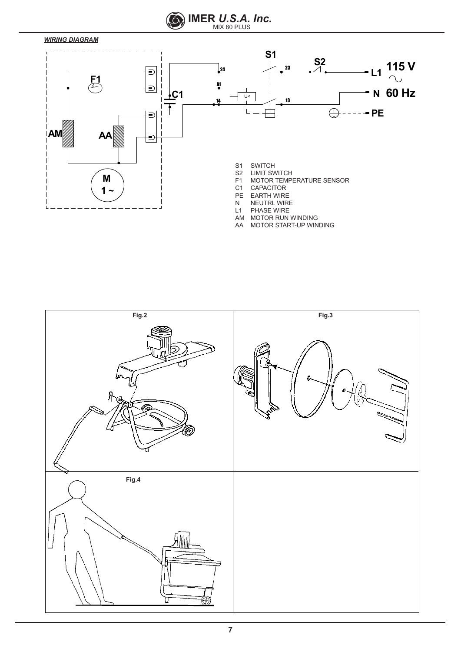

# *WIRING DIAGRAM*



AA MOTOR START-UP WINDING

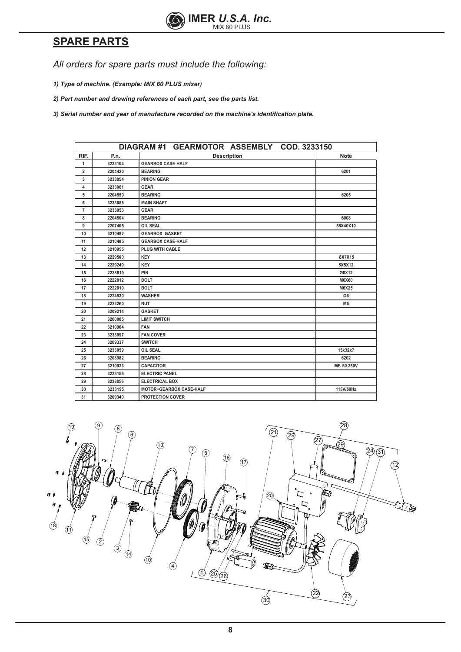

# **SPARE PARTS**

*All orders for spare parts must include the following:*

*1) Type of machine. (Example: MIX 60 PLUS mixer)*

*2) Part number and drawing references of each part, see the parts list.*

*3) Serial number and year of manufacture recorded on the machine's identification plate.*

|                |         | DIAGRAM #1 GEARMOTOR ASSEMBLY COD. 3233150 |                |
|----------------|---------|--------------------------------------------|----------------|
| RIF.           | P.n.    | <b>Description</b>                         | <b>Note</b>    |
| $\mathbf{1}$   | 3233104 | <b>GEARBOX CASE-HALF</b>                   |                |
| $\overline{2}$ | 2204420 | <b>BEARING</b>                             | 6201           |
| 3              | 3233054 | <b>PINION GEAR</b>                         |                |
| 4              | 3233061 | <b>GEAR</b>                                |                |
| 5              | 2204550 | <b>BEARING</b>                             | 6205           |
| 6              | 3233056 | <b>MAIN SHAFT</b>                          |                |
| $\overline{7}$ | 3233053 | <b>GEAR</b>                                |                |
| 8              | 2204504 | <b>BEARING</b>                             | 6008           |
| 9              | 2207405 | <b>OIL SEAL</b>                            | 55X40X10       |
| 10             | 3210482 | <b>GEARBOX GASKET</b>                      |                |
| 11             | 3210485 | <b>GEARBOX CASE-HALF</b>                   |                |
| 12             | 3210955 | PLUG WITH CABLE                            |                |
| 13             | 2229500 | <b>KEY</b>                                 | 8X7X15         |
| 14             | 2229249 | <b>KEY</b>                                 | 5X5X12         |
| 15             | 2228819 | PIN                                        | Ø6X12          |
| 16             | 2222012 | <b>BOLT</b>                                | <b>M6X60</b>   |
| 17             | 2222010 | <b>BOLT</b>                                | M6X25          |
| 18             | 2224530 | <b>WASHER</b>                              | Ø6             |
| 19             | 2223260 | <b>NUT</b>                                 | M <sub>6</sub> |
| 20             | 3209214 | <b>GASKET</b>                              |                |
| 21             | 3200005 | <b>LIMIT SWITCH</b>                        |                |
| 22             | 3210904 | <b>FAN</b>                                 |                |
| 23             | 3233097 | <b>FAN COVER</b>                           |                |
| 24             | 3209337 | <b>SWITCH</b>                              |                |
| 25             | 3233059 | <b>OIL SEAL</b>                            | 15x32x7        |
| 26             | 3208982 | <b>BEARING</b>                             | 6202           |
| 27             | 3210923 | <b>CAPACITOR</b>                           | MF. 50 250V    |
| 28             | 3233156 | <b>ELECTRIC PANEL</b>                      |                |
| 29             | 3233056 | <b>ELECTRICAL BOX</b>                      |                |
| 30             | 3233155 | <b>MOTOR+GEARBOX CASE-HALF</b>             | 115V/60Hz      |
| 31             | 3209340 | <b>PROTECTION COVER</b>                    |                |

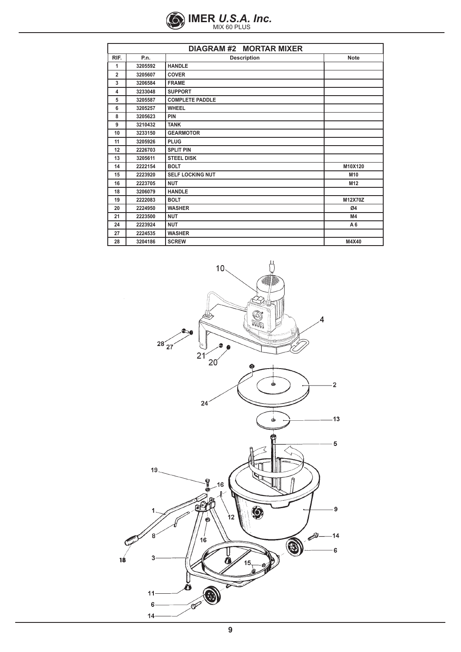

| <b>DIAGRAM #2 MORTAR MIXER</b> |         |                         |  |                 |
|--------------------------------|---------|-------------------------|--|-----------------|
| RIF.                           | P.n.    | <b>Description</b>      |  | <b>Note</b>     |
| 1                              | 3205592 | <b>HANDLE</b>           |  |                 |
| $\overline{2}$                 | 3205607 | <b>COVER</b>            |  |                 |
| 3                              | 3206584 | <b>FRAME</b>            |  |                 |
| 4                              | 3233048 | <b>SUPPORT</b>          |  |                 |
| 5                              | 3205587 | <b>COMPLETE PADDLE</b>  |  |                 |
| 6                              | 3205257 | <b>WHEEL</b>            |  |                 |
| 8                              | 3205623 | PIN                     |  |                 |
| 9                              | 3210432 | <b>TANK</b>             |  |                 |
| 10                             | 3233150 | <b>GEARMOTOR</b>        |  |                 |
| 11                             | 3205926 | <b>PLUG</b>             |  |                 |
| 12                             | 2226703 | <b>SPLIT PIN</b>        |  |                 |
| 13                             | 3205611 | <b>STEEL DISK</b>       |  |                 |
| 14                             | 2222154 | <b>BOLT</b>             |  | M10X120         |
| 15                             | 2223920 | <b>SELF LOCKING NUT</b> |  | M10             |
| 16                             | 2223705 | <b>NUT</b>              |  | M <sub>12</sub> |
| 18                             | 3206079 | <b>HANDLE</b>           |  |                 |
| 19                             | 2222083 | <b>BOLT</b>             |  | M12X70Z         |
| 20                             | 2224950 | <b>WASHER</b>           |  | Ø4              |
| 21                             | 2223500 | <b>NUT</b>              |  | M4              |
| 24                             | 2223924 | <b>NUT</b>              |  | A <sub>6</sub>  |
| 27                             | 2224535 | <b>WASHER</b>           |  |                 |
| 28                             | 3204186 | <b>SCREW</b>            |  | M4X40           |